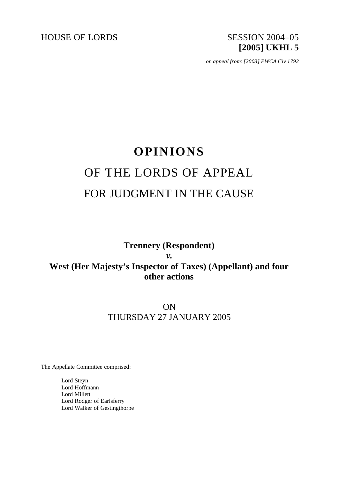

*on appeal from: [2003] EWCA Civ 1792*

# **OPINIONS** OF THE LORDS OF APPEAL FOR JUDGMENT IN THE CAUSE

## **Trennery (Respondent)** *v.* **West (Her Majesty's Inspector of Taxes) (Appellant) and four other actions**

# ON THURSDAY 27 JANUARY 2005

The Appellate Committee comprised:

Lord Steyn Lord Hoffmann Lord Millett Lord Rodger of Earlsferry Lord Walker of Gestingthorpe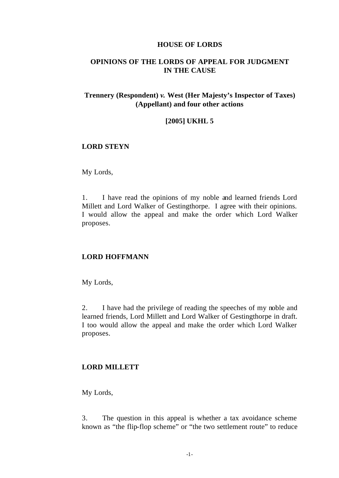#### **HOUSE OF LORDS**

## **OPINIONS OF THE LORDS OF APPEAL FOR JUDGMENT IN THE CAUSE**

### **Trennery (Respondent)** *v.* **West (Her Majesty's Inspector of Taxes) (Appellant) and four other actions**

#### **[2005] UKHL 5**

#### **LORD STEYN**

My Lords,

1. I have read the opinions of my noble and learned friends Lord Millett and Lord Walker of Gestingthorpe. I agree with their opinions. I would allow the appeal and make the order which Lord Walker proposes.

#### **LORD HOFFMANN**

My Lords,

2. I have had the privilege of reading the speeches of my noble and learned friends, Lord Millett and Lord Walker of Gestingthorpe in draft. I too would allow the appeal and make the order which Lord Walker proposes.

#### **LORD MILLETT**

My Lords,

3. The question in this appeal is whether a tax avoidance scheme known as "the flip-flop scheme" or "the two settlement route" to reduce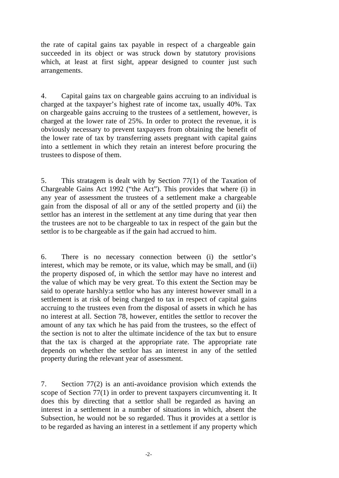the rate of capital gains tax payable in respect of a chargeable gain succeeded in its object or was struck down by statutory provisions which, at least at first sight, appear designed to counter just such arrangements.

4. Capital gains tax on chargeable gains accruing to an individual is charged at the taxpayer's highest rate of income tax, usually 40%. Tax on chargeable gains accruing to the trustees of a settlement, however, is charged at the lower rate of 25%. In order to protect the revenue, it is obviously necessary to prevent taxpayers from obtaining the benefit of the lower rate of tax by transferring assets pregnant with capital gains into a settlement in which they retain an interest before procuring the trustees to dispose of them.

5. This stratagem is dealt with by Section 77(1) of the Taxation of Chargeable Gains Act 1992 ("the Act"). This provides that where (i) in any year of assessment the trustees of a settlement make a chargeable gain from the disposal of all or any of the settled property and (ii) the settlor has an interest in the settlement at any time during that year then the trustees are not to be chargeable to tax in respect of the gain but the settlor is to be chargeable as if the gain had accrued to him.

6. There is no necessary connection between (i) the settlor's interest, which may be remote, or its value, which may be small, and (ii) the property disposed of, in which the settlor may have no interest and the value of which may be very great. To this extent the Section may be said to operate harshly:a settlor who has any interest however small in a settlement is at risk of being charged to tax in respect of capital gains accruing to the trustees even from the disposal of assets in which he has no interest at all. Section 78, however, entitles the settlor to recover the amount of any tax which he has paid from the trustees, so the effect of the section is not to alter the ultimate incidence of the tax but to ensure that the tax is charged at the appropriate rate. The appropriate rate depends on whether the settlor has an interest in any of the settled property during the relevant year of assessment.

7. Section 77(2) is an anti-avoidance provision which extends the scope of Section 77(1) in order to prevent taxpayers circumventing it. It does this by directing that a settlor shall be regarded as having an interest in a settlement in a number of situations in which, absent the Subsection, he would not be so regarded. Thus it provides at a settlor is to be regarded as having an interest in a settlement if any property which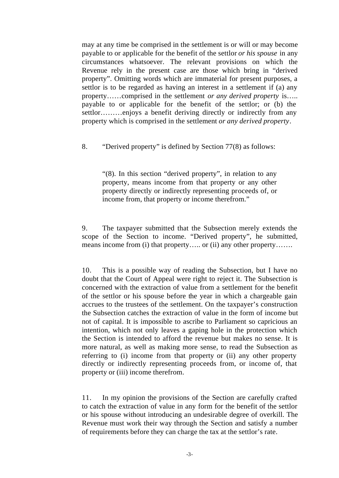may at any time be comprised in the settlement is or will or may become payable to or applicable for the benefit of the settlor *or his spouse* in any circumstances whatsoever. The relevant provisions on which the Revenue rely in the present case are those which bring in "derived property". Omitting words which are immaterial for present purposes, a settlor is to be regarded as having an interest in a settlement if (a) any property……comprised in the settlement *or any derived property* is….. payable to or applicable for the benefit of the settlor; or (b) the settlor………enjoys a benefit deriving directly or indirectly from any property which is comprised in the settlement *or any derived property*.

8. "Derived property" is defined by Section 77(8) as follows:

"(8). In this section "derived property", in relation to any property, means income from that property or any other property directly or indirectly representing proceeds of, or income from, that property or income therefrom."

9. The taxpayer submitted that the Subsection merely extends the scope of the Section to income. "Derived property", he submitted, means income from (i) that property….. or (ii) any other property…….

10. This is a possible way of reading the Subsection, but I have no doubt that the Court of Appeal were right to reject it. The Subsection is concerned with the extraction of value from a settlement for the benefit of the settlor or his spouse before the year in which a chargeable gain accrues to the trustees of the settlement. On the taxpayer's construction the Subsection catches the extraction of value in the form of income but not of capital. It is impossible to ascribe to Parliament so capricious an intention, which not only leaves a gaping hole in the protection which the Section is intended to afford the revenue but makes no sense. It is more natural, as well as making more sense, to read the Subsection as referring to (i) income from that property or (ii) any other property directly or indirectly representing proceeds from, or income of, that property or (iii) income therefrom.

11. In my opinion the provisions of the Section are carefully crafted to catch the extraction of value in any form for the benefit of the settlor or his spouse without introducing an undesirable degree of overkill. The Revenue must work their way through the Section and satisfy a number of requirements before they can charge the tax at the settlor's rate.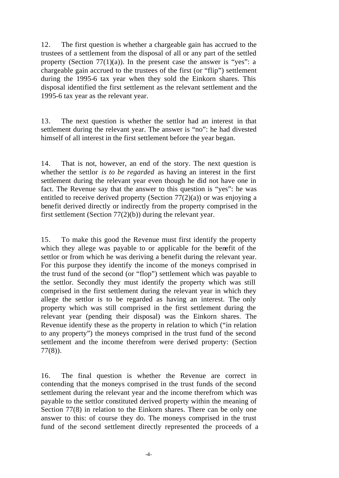12. The first question is whether a chargeable gain has accrued to the trustees of a settlement from the disposal of all or any part of the settled property (Section  $77(1)(a)$ ). In the present case the answer is "yes": a chargeable gain accrued to the trustees of the first (or "flip") settlement during the 1995-6 tax year when they sold the Einkorn shares. This disposal identified the first settlement as the relevant settlement and the 1995-6 tax year as the relevant year.

13. The next question is whether the settlor had an interest in that settlement during the relevant year. The answer is "no": he had divested himself of all interest in the first settlement before the year began.

14. That is not, however, an end of the story. The next question is whether the settlor *is to be regarded* as having an interest in the first settlement during the relevant year even though he did not have one in fact. The Revenue say that the answer to this question is "yes": he was entitled to receive derived property (Section  $77(2)(a)$ ) or was enjoying a benefit derived directly or indirectly from the property comprised in the first settlement (Section 77(2)(b)) during the relevant year.

15. To make this good the Revenue must first identify the property which they allege was payable to or applicable for the benefit of the settlor or from which he was deriving a benefit during the relevant year. For this purpose they identify the income of the moneys comprised in the trust fund of the second (or "flop") settlement which was payable to the settlor. Secondly they must identify the property which was still comprised in the first settlement during the relevant year in which they allege the settlor is to be regarded as having an interest. The only property which was still comprised in the first settlement during the relevant year (pending their disposal) was the Einkorn shares. The Revenue identify these as the property in relation to which ("in relation to any property") the moneys comprised in the trust fund of the second settlement and the income therefrom were derived property: (Section 77(8)).

16. The final question is whether the Revenue are correct in contending that the moneys comprised in the trust funds of the second settlement during the relevant year and the income therefrom which was payable to the settlor constituted derived property within the meaning of Section 77(8) in relation to the Einkorn shares. There can be only one answer to this: of course they do. The moneys comprised in the trust fund of the second settlement directly represented the proceeds of a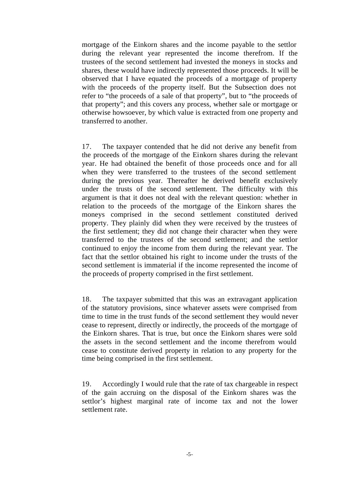mortgage of the Einkorn shares and the income payable to the settlor during the relevant year represented the income therefrom. If the trustees of the second settlement had invested the moneys in stocks and shares, these would have indirectly represented those proceeds. It will be observed that I have equated the proceeds of a mortgage of property with the proceeds of the property itself. But the Subsection does not refer to "the proceeds of a sale of that property", but to "the proceeds of that property"; and this covers any process, whether sale or mortgage or otherwise howsoever, by which value is extracted from one property and transferred to another.

17. The taxpayer contended that he did not derive any benefit from the proceeds of the mortgage of the Einkorn shares during the relevant year. He had obtained the benefit of those proceeds once and for all when they were transferred to the trustees of the second settlement during the previous year. Thereafter he derived benefit exclusively under the trusts of the second settlement. The difficulty with this argument is that it does not deal with the relevant question: whether in relation to the proceeds of the mortgage of the Einkorn shares the moneys comprised in the second settlement constituted derived property. They plainly did when they were received by the trustees of the first settlement; they did not change their character when they were transferred to the trustees of the second settlement; and the settlor continued to enjoy the income from them during the relevant year. The fact that the settlor obtained his right to income under the trusts of the second settlement is immaterial if the income represented the income of the proceeds of property comprised in the first settlement.

18. The taxpayer submitted that this was an extravagant application of the statutory provisions, since whatever assets were comprised from time to time in the trust funds of the second settlement they would never cease to represent, directly or indirectly, the proceeds of the mortgage of the Einkorn shares. That is true, but once the Einkorn shares were sold the assets in the second settlement and the income therefrom would cease to constitute derived property in relation to any property for the time being comprised in the first settlement.

19. Accordingly I would rule that the rate of tax chargeable in respect of the gain accruing on the disposal of the Einkorn shares was the settlor's highest marginal rate of income tax and not the lower settlement rate.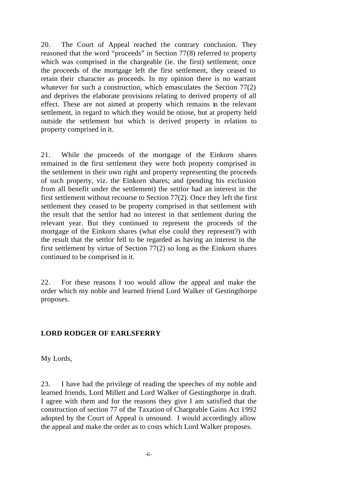20. The Court of Appeal reached the contrary conclusion. They reasoned that the word "proceeds" in Section 77(8) referred to property which was comprised in the chargeable (ie. the first) settlement; once the proceeds of the mortgage left the first settlement, they ceased to retain their character as proceeds. In my opinion there is no warrant whatever for such a construction, which emasculates the Section 77(2) and deprives the elaborate provisions relating to derived property of all effect. These are not aimed at property which remains in the relevant settlement, in regard to which they would be otiose, but at property held outside the settlement but which is derived property in relation to property comprised in it.

21. While the proceeds of the mortgage of the Einkorn shares remained in the first settlement they were both property comprised in the settlement in their own right and property representing the proceeds of such property, viz. the Einkorn shares; and (pending his exclusion from all benefit under the settlement) the settlor had an interest in the first settlement without recourse to Section 77(2). Once they left the first settlement they ceased to be property comprised in that settlement with the result that the settlor had no interest in that settlement during the relevant year. But they continued to represent the proceeds of the mortgage of the Einkorn shares (what else could they represent?) with the result that the settlor fell to be regarded as having an interest in the first settlement by virtue of Section 77(2) so long as the Einkorn shares continued to be comprised in it.

22. For these reasons I too would allow the appeal and make the order which my noble and learned friend Lord Walker of Gestingthorpe proposes.

#### **LORD RODGER OF EARLSFERRY**

My Lords,

23. I have had the privilege of reading the speeches of my noble and learned friends, Lord Millett and Lord Walker of Gestingthorpe in draft. I agree with them and for the reasons they give I am satisfied that the construction of section 77 of the Taxation of Chargeable Gains Act 1992 adopted by the Court of Appeal is unsound. I would accordingly allow the appeal and make the order as to costs which Lord Walker proposes.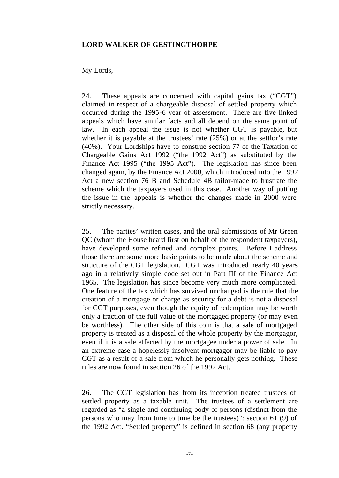#### **LORD WALKER OF GESTINGTHORPE**

#### My Lords,

24. These appeals are concerned with capital gains tax ("CGT") claimed in respect of a chargeable disposal of settled property which occurred during the 1995-6 year of assessment. There are five linked appeals which have similar facts and all depend on the same point of law. In each appeal the issue is not whether CGT is payable, but whether it is payable at the trustees' rate (25%) or at the settlor's rate (40%). Your Lordships have to construe section 77 of the Taxation of Chargeable Gains Act 1992 ("the 1992 Act") as substituted by the Finance Act 1995 ("the 1995 Act"). The legislation has since been changed again, by the Finance Act 2000, which introduced into the 1992 Act a new section 76 B and Schedule 4B tailor-made to frustrate the scheme which the taxpayers used in this case. Another way of putting the issue in the appeals is whether the changes made in 2000 were strictly necessary.

25. The parties' written cases, and the oral submissions of Mr Green QC (whom the House heard first on behalf of the respondent taxpayers), have developed some refined and complex points. Before I address those there are some more basic points to be made about the scheme and structure of the CGT legislation. CGT was introduced nearly 40 years ago in a relatively simple code set out in Part III of the Finance Act 1965. The legislation has since become very much more complicated. One feature of the tax which has survived unchanged is the rule that the creation of a mortgage or charge as security for a debt is not a disposal for CGT purposes, even though the equity of redemption may be worth only a fraction of the full value of the mortgaged property (or may even be worthless). The other side of this coin is that a sale of mortgaged property is treated as a disposal of the whole property by the mortgagor, even if it is a sale effected by the mortgagee under a power of sale. In an extreme case a hopelessly insolvent mortgagor may be liable to pay CGT as a result of a sale from which he personally gets nothing. These rules are now found in section 26 of the 1992 Act.

26. The CGT legislation has from its inception treated trustees of settled property as a taxable unit. The trustees of a settlement are regarded as "a single and continuing body of persons (distinct from the persons who may from time to time be the trustees)": section 61 (9) of the 1992 Act. "Settled property" is defined in section 68 (any property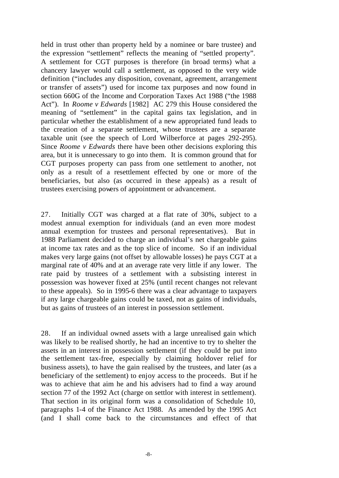held in trust other than property held by a nominee or bare trustee) and the expression "settlement" reflects the meaning of "settled property". A settlement for CGT purposes is therefore (in broad terms) what a chancery lawyer would call a settlement, as opposed to the very wide definition ("includes any disposition, covenant, agreement, arrangement or transfer of assets") used for income tax purposes and now found in section 660G of the Income and Corporation Taxes Act 1988 ("the 1988 Act"). In *Roome v Edwards* [1982] AC 279 this House considered the meaning of "settlement" in the capital gains tax legislation, and in particular whether the establishment of a new appropriated fund leads to the creation of a separate settlement, whose trustees are a separate taxable unit (see the speech of Lord Wilberforce at pages 292-295). Since *Roome v Edwards* there have been other decisions exploring this area, but it is unnecessary to go into them. It is common ground that for CGT purposes property can pass from one settlement to another, not only as a result of a resettlement effected by one or more of the beneficiaries, but also (as occurred in these appeals) as a result of trustees exercising powers of appointment or advancement.

27. Initially CGT was charged at a flat rate of 30%, subject to a modest annual exemption for individuals (and an even more modest annual exemption for trustees and personal representatives). But in 1988 Parliament decided to charge an individual's net chargeable gains at income tax rates and as the top slice of income. So if an individual makes very large gains (not offset by allowable losses) he pays CGT at a marginal rate of 40% and at an average rate very little if any lower. The rate paid by trustees of a settlement with a subsisting interest in possession was however fixed at 25% (until recent changes not relevant to these appeals). So in 1995-6 there was a clear advantage to taxpayers if any large chargeable gains could be taxed, not as gains of individuals, but as gains of trustees of an interest in possession settlement.

28. If an individual owned assets with a large unrealised gain which was likely to be realised shortly, he had an incentive to try to shelter the assets in an interest in possession settlement (if they could be put into the settlement tax-free, especially by claiming holdover relief for business assets), to have the gain realised by the trustees, and later (as a beneficiary of the settlement) to enjoy access to the proceeds. But if he was to achieve that aim he and his advisers had to find a way around section 77 of the 1992 Act (charge on settlor with interest in settlement). That section in its original form was a consolidation of Schedule 10, paragraphs 1-4 of the Finance Act 1988. As amended by the 1995 Act (and I shall come back to the circumstances and effect of that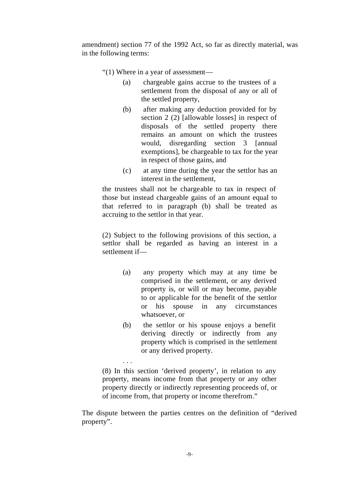amendment) section 77 of the 1992 Act, so far as directly material, was in the following terms:

"(1) Where in a year of assessment—

- (a) chargeable gains accrue to the trustees of a settlement from the disposal of any or all of the settled property,
- (b) after making any deduction provided for by section 2 (2) [allowable losses] in respect of disposals of the settled property there remains an amount on which the trustees would, disregarding section 3 [annual exemptions], be chargeable to tax for the year in respect of those gains, and
- (c) at any time during the year the settlor has an interest in the settlement,

the trustees shall not be chargeable to tax in respect of those but instead chargeable gains of an amount equal to that referred to in paragraph (b) shall be treated as accruing to the settlor in that year.

(2) Subject to the following provisions of this section, a settlor shall be regarded as having an interest in a settlement if—

- (a) any property which may at any time be comprised in the settlement, or any derived property is, or will or may become, payable to or applicable for the benefit of the settlor or his spouse in any circumstances whatsoever, or
- (b) the settlor or his spouse enjoys a benefit deriving directly or indirectly from any property which is comprised in the settlement or any derived property.

(8) In this section 'derived property', in relation to any property, means income from that property or any other property directly or indirectly representing proceeds of, or of income from, that property or income therefrom."

. . .

The dispute between the parties centres on the definition of "derived property".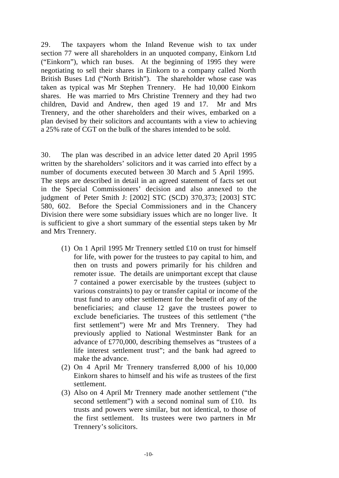29. The taxpayers whom the Inland Revenue wish to tax under section 77 were all shareholders in an unquoted company, Einkorn Ltd ("Einkorn"), which ran buses. At the beginning of 1995 they were negotiating to sell their shares in Einkorn to a company called North British Buses Ltd ("North British"). The shareholder whose case was taken as typical was Mr Stephen Trennery. He had 10,000 Einkorn shares. He was married to Mrs Christine Trennery and they had two children, David and Andrew, then aged 19 and 17. Mr and Mrs Trennery, and the other shareholders and their wives, embarked on a plan devised by their solicitors and accountants with a view to achieving a 25% rate of CGT on the bulk of the shares intended to be sold.

30. The plan was described in an advice letter dated 20 April 1995 written by the shareholders' solicitors and it was carried into effect by a number of documents executed between 30 March and 5 April 1995. The steps are described in detail in an agreed statement of facts set out in the Special Commissioners' decision and also annexed to the judgment of Peter Smith J: [2002] STC (SCD) 370,373; [2003] STC 580, 602. Before the Special Commissioners and in the Chancery Division there were some subsidiary issues which are no longer live. It is sufficient to give a short summary of the essential steps taken by Mr and Mrs Trennery.

- (1) On 1 April 1995 Mr Trennery settled £10 on trust for himself for life, with power for the trustees to pay capital to him, and then on trusts and powers primarily for his children and remoter issue. The details are unimportant except that clause 7 contained a power exercisable by the trustees (subject to various constraints) to pay or transfer capital or income of the trust fund to any other settlement for the benefit of any of the beneficiaries; and clause 12 gave the trustees power to exclude beneficiaries. The trustees of this settlement ("the first settlement") were Mr and Mrs Trennery. They had previously applied to National Westminster Bank for an advance of £770,000, describing themselves as "trustees of a life interest settlement trust"; and the bank had agreed to make the advance.
- (2) On 4 April Mr Trennery transferred 8,000 of his 10,000 Einkorn shares to himself and his wife as trustees of the first settlement.
- (3) Also on 4 April Mr Trennery made another settlement ("the second settlement") with a second nominal sum of £10. Its trusts and powers were similar, but not identical, to those of the first settlement. Its trustees were two partners in Mr Trennery's solicitors.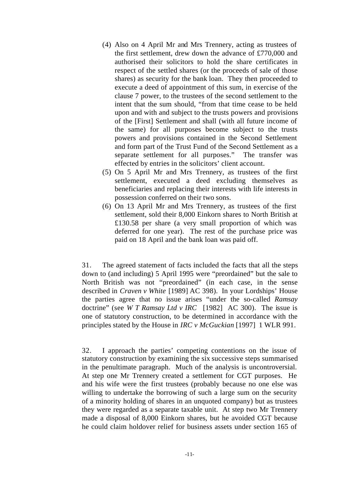- (4) Also on 4 April Mr and Mrs Trennery, acting as trustees of the first settlement, drew down the advance of £770,000 and authorised their solicitors to hold the share certificates in respect of the settled shares (or the proceeds of sale of those shares) as security for the bank loan. They then proceeded to execute a deed of appointment of this sum, in exercise of the clause 7 power, to the trustees of the second settlement to the intent that the sum should, "from that time cease to be held upon and with and subject to the trusts powers and provisions of the [First] Settlement and shall (with all future income of the same) for all purposes become subject to the trusts powers and provisions contained in the Second Settlement and form part of the Trust Fund of the Second Settlement as a separate settlement for all purposes." The transfer was effected by entries in the solicitors' client account.
- (5) On 5 April Mr and Mrs Trennery, as trustees of the first settlement, executed a deed excluding themselves as beneficiaries and replacing their interests with life interests in possession conferred on their two sons.
- (6) On 13 April Mr and Mrs Trennery, as trustees of the first settlement, sold their 8,000 Einkorn shares to North British at £130.58 per share (a very small proportion of which was deferred for one year). The rest of the purchase price was paid on 18 April and the bank loan was paid off.

31. The agreed statement of facts included the facts that all the steps down to (and including) 5 April 1995 were "preordained" but the sale to North British was not "preordained" (in each case, in the sense described in *Craven v White* [1989] AC 398). In your Lordships' House the parties agree that no issue arises "under the so-called *Ramsay*  doctrine" (see *W T Ramsay Ltd v IRC* [1982] AC 300). The issue is one of statutory construction, to be determined in accordance with the principles stated by the House in *IRC v McGuckian* [1997] 1 WLR 991.

32. I approach the parties' competing contentions on the issue of statutory construction by examining the six successive steps summarised in the penultimate paragraph. Much of the analysis is uncontroversial. At step one Mr Trennery created a settlement for CGT purposes. He and his wife were the first trustees (probably because no one else was willing to undertake the borrowing of such a large sum on the security of a minority holding of shares in an unquoted company) but as trustees they were regarded as a separate taxable unit. At step two Mr Trennery made a disposal of 8,000 Einkorn shares, but he avoided CGT because he could claim holdover relief for business assets under section 165 of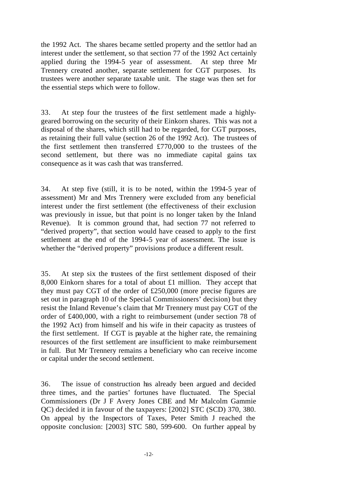the 1992 Act. The shares became settled property and the settlor had an interest under the settlement, so that section 77 of the 1992 Act certainly applied during the 1994-5 year of assessment. At step three Mr Trennery created another, separate settlement for CGT purposes. Its trustees were another separate taxable unit. The stage was then set for the essential steps which were to follow.

33. At step four the trustees of the first settlement made a highlygeared borrowing on the security of their Einkorn shares. This was not a disposal of the shares, which still had to be regarded, for CGT purposes, as retaining their full value (section 26 of the 1992 Act). The trustees of the first settlement then transferred £770,000 to the trustees of the second settlement, but there was no immediate capital gains tax consequence as it was cash that was transferred.

34. At step five (still, it is to be noted, within the 1994-5 year of assessment) Mr and Mrs Trennery were excluded from any beneficial interest under the first settlement (the effectiveness of their exclusion was previously in issue, but that point is no longer taken by the Inland Revenue). It is common ground that, had section 77 not referred to "derived property", that section would have ceased to apply to the first settlement at the end of the 1994-5 year of assessment. The issue is whether the "derived property" provisions produce a different result.

35. At step six the trustees of the first settlement disposed of their 8,000 Einkorn shares for a total of about £1 million. They accept that they must pay CGT of the order of £250,000 (more precise figures are set out in paragraph 10 of the Special Commissioners' decision) but they resist the Inland Revenue's claim that Mr Trennery must pay CGT of the order of £400,000, with a right to reimbursement (under section 78 of the 1992 Act) from himself and his wife in their capacity as trustees of the first settlement. If CGT is payable at the higher rate, the remaining resources of the first settlement are insufficient to make reimbursement in full. But Mr Trennery remains a beneficiary who can receive income or capital under the second settlement.

36. The issue of construction has already been argued and decided three times, and the parties' fortunes have fluctuated. The Special Commissioners (Dr J F Avery Jones CBE and Mr Malcolm Gammie QC) decided it in favour of the taxpayers: [2002] STC (SCD) 370, 380. On appeal by the Inspectors of Taxes, Peter Smith J reached the opposite conclusion: [2003] STC 580, 599-600. On further appeal by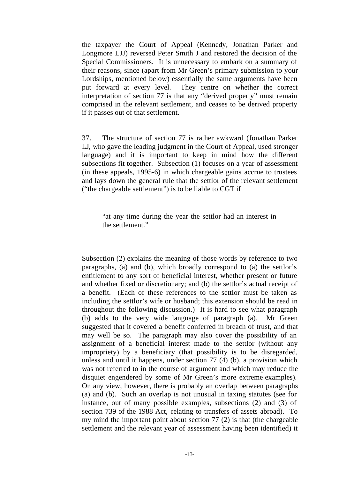the taxpayer the Court of Appeal (Kennedy, Jonathan Parker and Longmore LJJ) reversed Peter Smith J and restored the decision of the Special Commissioners. It is unnecessary to embark on a summary of their reasons, since (apart from Mr Green's primary submission to your Lordships, mentioned below) essentially the same arguments have been put forward at every level. They centre on whether the correct interpretation of section 77 is that any "derived property" must remain comprised in the relevant settlement, and ceases to be derived property if it passes out of that settlement.

37. The structure of section 77 is rather awkward (Jonathan Parker LJ, who gave the leading judgment in the Court of Appeal, used stronger language) and it is important to keep in mind how the different subsections fit together. Subsection (1) focuses on a year of assessment (in these appeals, 1995-6) in which chargeable gains accrue to trustees and lays down the general rule that the settlor of the relevant settlement ("the chargeable settlement") is to be liable to CGT if

"at any time during the year the settlor had an interest in the settlement."

Subsection (2) explains the meaning of those words by reference to two paragraphs, (a) and (b), which broadly correspond to (a) the settlor's entitlement to any sort of beneficial interest, whether present or future and whether fixed or discretionary; and (b) the settlor's actual receipt of a benefit. (Each of these references to the settlor must be taken as including the settlor's wife or husband; this extension should be read in throughout the following discussion.) It is hard to see what paragraph (b) adds to the very wide language of paragraph (a). Mr Green suggested that it covered a benefit conferred in breach of trust, and that may well be so. The paragraph may also cover the possibility of an assignment of a beneficial interest made to the settlor (without any impropriety) by a beneficiary (that possibility is to be disregarded, unless and until it happens, under section 77 (4) (b), a provision which was not referred to in the course of argument and which may reduce the disquiet engendered by some of Mr Green's more extreme examples). On any view, however, there is probably an overlap between paragraphs (a) and (b). Such an overlap is not unusual in taxing statutes (see for instance, out of many possible examples, subsections (2) and (3) of section 739 of the 1988 Act, relating to transfers of assets abroad). To my mind the important point about section 77 (2) is that (the chargeable settlement and the relevant year of assessment having been identified) it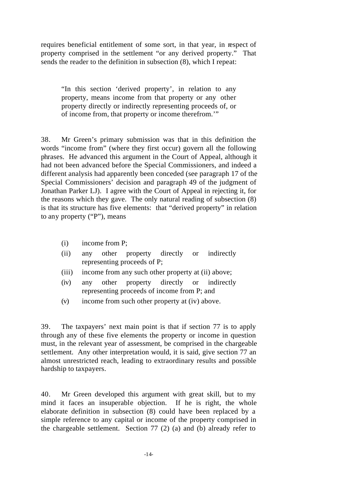requires beneficial entitlement of some sort, in that year, in respect of property comprised in the settlement "or any derived property." That sends the reader to the definition in subsection (8), which I repeat:

"In this section 'derived property', in relation to any property, means income from that property or any other property directly or indirectly representing proceeds of, or of income from, that property or income therefrom.'"

38. Mr Green's primary submission was that in this definition the words "income from" (where they first occur) govern all the following phrases. He advanced this argument in the Court of Appeal, although it had not been advanced before the Special Commissioners, and indeed a different analysis had apparently been conceded (see paragraph 17 of the Special Commissioners' decision and paragraph 49 of the judgment of Jonathan Parker LJ). I agree with the Court of Appeal in rejecting it, for the reasons which they gave. The only natural reading of subsection (8) is that its structure has five elements: that "derived property" in relation to any property ("P"), means

- (i) income from P;
- (ii) any other property directly or indirectly representing proceeds of P;
- (iii) income from any such other property at (ii) above;
- (iv) any other property directly or indirectly representing proceeds of income from P; and
- (v) income from such other property at (iv) above.

39. The taxpayers' next main point is that if section 77 is to apply through any of these five elements the property or income in question must, in the relevant year of assessment, be comprised in the chargeable settlement. Any other interpretation would, it is said, give section 77 an almost unrestricted reach, leading to extraordinary results and possible hardship to taxpayers.

40. Mr Green developed this argument with great skill, but to my mind it faces an insuperable objection. If he is right, the whole elaborate definition in subsection (8) could have been replaced by a simple reference to any capital or income of the property comprised in the chargeable settlement. Section 77 (2) (a) and (b) already refer to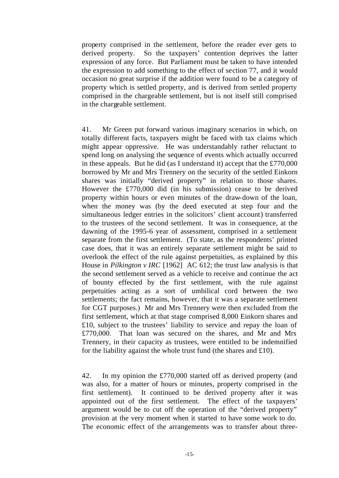property comprised in the settlement, before the reader ever gets to derived property. So the taxpayers' contention deprives the latter expression of any force. But Parliament must be taken to have intended the expression to add something to the effect of section 77, and it would occasion no great surprise if the addition were found to be a category of property which is settled property, and is derived from settled property comprised in the chargeable settlement, but is not itself still comprised in the chargeable settlement.

41. Mr Green put forward various imaginary scenarios in which, on totally different facts, taxpayers might be faced with tax claims which might appear oppressive. He was understandably rather reluctant to spend long on analysing the sequence of events which actually occurred in these appeals. But he did (as I understand it) accept that the  $£770,000$ borrowed by Mr and Mrs Trennery on the security of the settled Einkorn shares was initially "derived property" in relation to those shares. However the £770,000 did (in his submission) cease to be derived property within hours or even minutes of the draw-down of the loan, when the money was (by the deed executed at step four and the simultaneous ledger entries in the solicitors' client account) transferred to the trustees of the second settlement. It was in consequence, at the dawning of the 1995-6 year of assessment, comprised in a settlement separate from the first settlement. (To state, as the respondents' printed case does, that it was an entirely separate settlement might be said to overlook the effect of the rule against perpetuities, as explained by this House in *Pilkington v IRC* [1962] AC 612; the trust law analysis is that the second settlement served as a vehicle to receive and continue the act of bounty effected by the first settlement, with the rule against perpetuities acting as a sort of umbilical cord between the two settlements; the fact remains, however, that it was a separate settlement for CGT purposes.) Mr and Mrs Trennery were then excluded from the first settlement, which at that stage comprised 8,000 Einkorn shares and £10, subject to the trustees' liability to service and repay the loan of £770,000. That loan was secured on the shares, and Mr and Mrs Trennery, in their capacity as trustees, were entitled to be indemnified for the liability against the whole trust fund (the shares and  $£10$ ).

42. In my opinion the £770,000 started off as derived property (and was also, for a matter of hours or minutes, property comprised in the first settlement). It continued to be derived property after it was appointed out of the first settlement. The effect of the taxpayers' argument would be to cut off the operation of the "derived property" provision at the very moment when it started to have some work to do. The economic effect of the arrangements was to transfer about three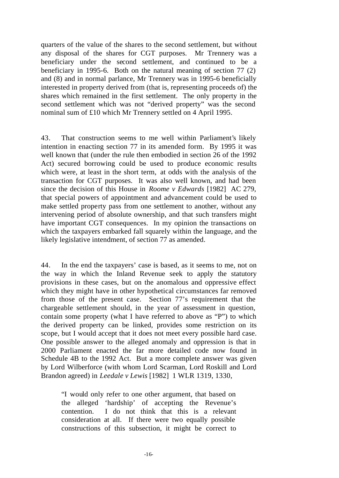quarters of the value of the shares to the second settlement, but without any disposal of the shares for CGT purposes. Mr Trennery was a beneficiary under the second settlement, and continued to be a beneficiary in 1995-6. Both on the natural meaning of section 77 (2) and (8) and in normal parlance, Mr Trennery was in 1995-6 beneficially interested in property derived from (that is, representing proceeds of) the shares which remained in the first settlement. The only property in the second settlement which was not "derived property" was the second nominal sum of £10 which Mr Trennery settled on 4 April 1995.

43. That construction seems to me well within Parliament's likely intention in enacting section 77 in its amended form. By 1995 it was well known that (under the rule then embodied in section 26 of the 1992 Act) secured borrowing could be used to produce economic results which were, at least in the short term, at odds with the analysis of the transaction for CGT purposes. It was also well known, and had been since the decision of this House in *Roome v Edwards* [1982] AC 279, that special powers of appointment and advancement could be used to make settled property pass from one settlement to another, without any intervening period of absolute ownership, and that such transfers might have important CGT consequences. In my opinion the transactions on which the taxpayers embarked fall squarely within the language, and the likely legislative intendment, of section 77 as amended.

44. In the end the taxpayers' case is based, as it seems to me, not on the way in which the Inland Revenue seek to apply the statutory provisions in these cases, but on the anomalous and oppressive effect which they might have in other hypothetical circumstances far removed from those of the present case. Section 77's requirement that the chargeable settlement should, in the year of assessment in question, contain some property (what I have referred to above as "P") to which the derived property can be linked, provides some restriction on its scope, but I would accept that it does not meet every possible hard case. One possible answer to the alleged anomaly and oppression is that in 2000 Parliament enacted the far more detailed code now found in Schedule 4B to the 1992 Act. But a more complete answer was given by Lord Wilberforce (with whom Lord Scarman, Lord Roskill and Lord Brandon agreed) in *Leedale v Lewis* [1982] 1 WLR 1319, 1330,

"I would only refer to one other argument, that based on the alleged 'hardship' of accepting the Revenue's contention. I do not think that this is a relevant consideration at all. If there were two equally possible constructions of this subsection, it might be correct to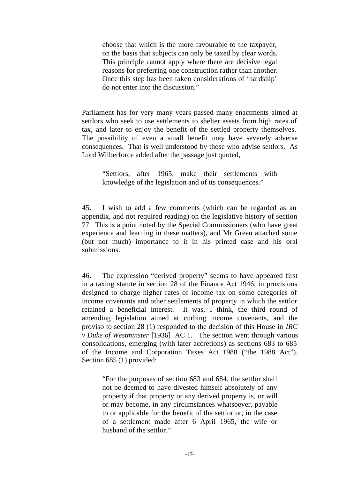choose that which is the more favourable to the taxpayer, on the basis that subjects can only be taxed by clear words. This principle cannot apply where there are decisive legal reasons for preferring one construction rather than another. Once this step has been taken considerations of 'hardship' do not enter into the discussion."

Parliament has for very many years passed many enactments aimed at settlors who seek to use settlements to shelter assets from high rates of tax, and later to enjoy the benefit of the settled property themselves. The possibility of even a small benefit may have severely adverse consequences. That is well understood by those who advise settlors. As Lord Wilberforce added after the passage just quoted,

"Settlors, after 1965, make their settlements with knowledge of the legislation and of its consequences."

45. I wish to add a few comments (which can be regarded as an appendix, and not required reading) on the legislative history of section 77. This is a point noted by the Special Commissioners (who have great experience and learning in these matters), and Mr Green attached some (but not much) importance to it in his printed case and his oral submissions.

46. The expression "derived property" seems to have appeared first in a taxing statute in section 28 of the Finance Act 1946, in provisions designed to charge higher rates of income tax on some categories of income covenants and other settlements of property in which the settlor retained a beneficial interest. It was, I think, the third round of amending legislation aimed at curbing income covenants, and the proviso to section 28 (1) responded to the decision of this House in *IRC v Duke of Westminster* [1936] AC 1. The section went through various consolidations, emerging (with later accretions) as sections 683 to 685 of the Income and Corporation Taxes Act 1988 ("the 1988 Act"). Section 685 (1) provided:

"For the purposes of section 683 and 684, the settlor shall not be deemed to have divested himself absolutely of any property if that property or any derived property is, or will or may become, in any circumstances whatsoever, payable to or applicable for the benefit of the settlor or, in the case of a settlement made after 6 April 1965, the wife or husband of the settlor."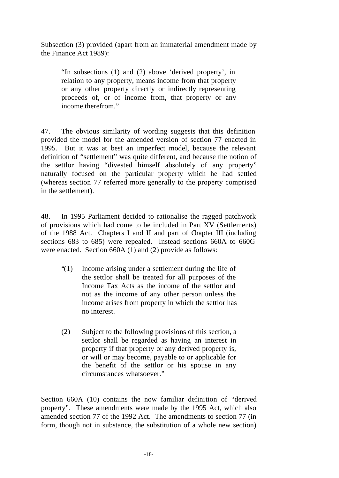Subsection (3) provided (apart from an immaterial amendment made by the Finance Act 1989):

"In subsections (1) and (2) above 'derived property', in relation to any property, means income from that property or any other property directly or indirectly representing proceeds of, or of income from, that property or any income therefrom."

47. The obvious similarity of wording suggests that this definition provided the model for the amended version of section 77 enacted in 1995. But it was at best an imperfect model, because the relevant definition of "settlement" was quite different, and because the notion of the settlor having "divested himself absolutely of any property" naturally focused on the particular property which he had settled (whereas section 77 referred more generally to the property comprised in the settlement).

48. In 1995 Parliament decided to rationalise the ragged patchwork of provisions which had come to be included in Part XV (Settlements) of the 1988 Act. Chapters I and II and part of Chapter III (including sections 683 to 685) were repealed. Instead sections 660A to 660G were enacted. Section 660A (1) and (2) provide as follows:

- "(1) Income arising under a settlement during the life of the settlor shall be treated for all purposes of the Income Tax Acts as the income of the settlor and not as the income of any other person unless the income arises from property in which the settlor has no interest.
- (2) Subject to the following provisions of this section, a settlor shall be regarded as having an interest in property if that property or any derived property is, or will or may become, payable to or applicable for the benefit of the settlor or his spouse in any circumstances whatsoever."

Section 660A (10) contains the now familiar definition of "derived property". These amendments were made by the 1995 Act, which also amended section 77 of the 1992 Act. The amendments to section 77 (in form, though not in substance, the substitution of a whole new section)